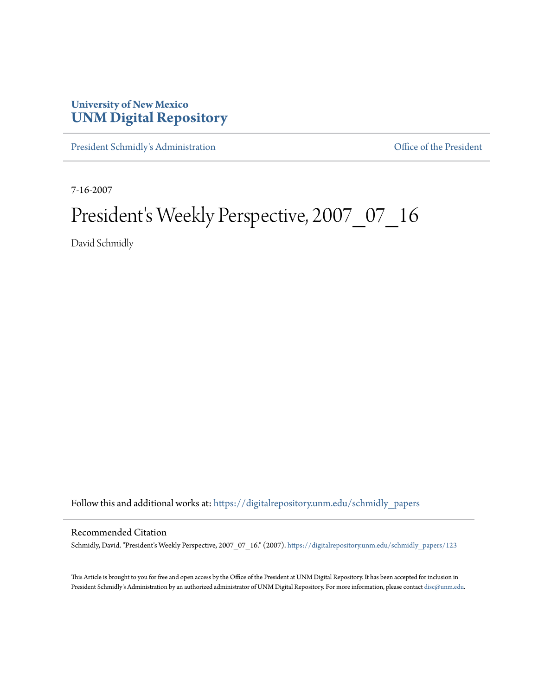## **University of New Mexico [UNM Digital Repository](https://digitalrepository.unm.edu?utm_source=digitalrepository.unm.edu%2Fschmidly_papers%2F123&utm_medium=PDF&utm_campaign=PDFCoverPages)**

[President Schmidly's Administration](https://digitalrepository.unm.edu/schmidly_papers?utm_source=digitalrepository.unm.edu%2Fschmidly_papers%2F123&utm_medium=PDF&utm_campaign=PDFCoverPages) [Office of the President](https://digitalrepository.unm.edu/ofc_president?utm_source=digitalrepository.unm.edu%2Fschmidly_papers%2F123&utm_medium=PDF&utm_campaign=PDFCoverPages)

7-16-2007

## President's Weekly Perspective, 2007\_07\_16

David Schmidly

Follow this and additional works at: [https://digitalrepository.unm.edu/schmidly\\_papers](https://digitalrepository.unm.edu/schmidly_papers?utm_source=digitalrepository.unm.edu%2Fschmidly_papers%2F123&utm_medium=PDF&utm_campaign=PDFCoverPages)

## Recommended Citation

Schmidly, David. "President's Weekly Perspective, 2007\_07\_16." (2007). [https://digitalrepository.unm.edu/schmidly\\_papers/123](https://digitalrepository.unm.edu/schmidly_papers/123?utm_source=digitalrepository.unm.edu%2Fschmidly_papers%2F123&utm_medium=PDF&utm_campaign=PDFCoverPages)

This Article is brought to you for free and open access by the Office of the President at UNM Digital Repository. It has been accepted for inclusion in President Schmidly's Administration by an authorized administrator of UNM Digital Repository. For more information, please contact [disc@unm.edu](mailto:disc@unm.edu).